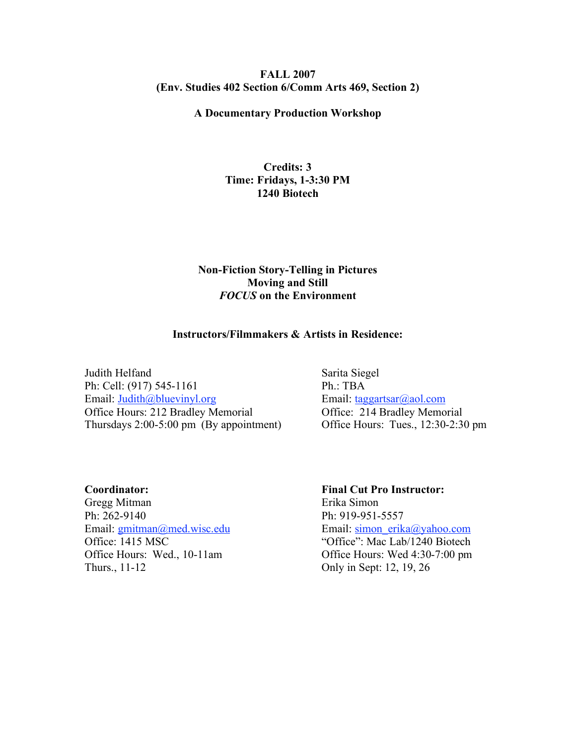#### **FALL 2007 (Env. Studies 402 Section 6/Comm Arts 469, Section 2)**

# **A Documentary Production Workshop**

## **Credits: 3 Time: Fridays, 1-3:30 PM 1240 Biotech**

### **Non-Fiction Story-Telling in Pictures Moving and Still** *FOCUS* **on the Environment**

#### **Instructors/Filmmakers & Artists in Residence:**

Judith Helfand Sarita Siegel Ph: Cell: (917) 545-1161 Ph.: TBA Email: Judith@bluevinyl.org Email: taggartsar@aol.com Office Hours: 212 Bradley Memorial Office: 214 Bradley Memorial Thursdays 2:00-5:00 pm (By appointment) Office Hours: Tues., 12:30-2:30 pm

**Coordinator: Final Cut Pro Instructor:** Gregg Mitman Erika Simon Ph: 262-9140 Ph: 919-951-5557 Thurs., 11-12 Only in Sept: 12, 19, 26

Email: gmitman@med.wisc.edu Email: simon\_erika@yahoo.com Office: 1415 MSC "Office": Mac Lab/1240 Biotech Office Hours: Wed., 10-11am Office Hours: Wed 4:30-7:00 pm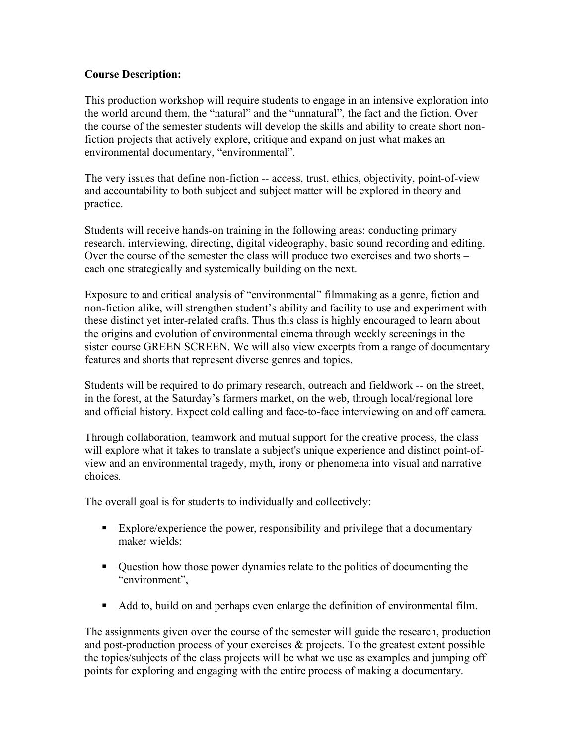## **Course Description:**

This production workshop will require students to engage in an intensive exploration into the world around them, the "natural" and the "unnatural", the fact and the fiction. Over the course of the semester students will develop the skills and ability to create short nonfiction projects that actively explore, critique and expand on just what makes an environmental documentary, "environmental".

The very issues that define non-fiction -- access, trust, ethics, objectivity, point-of-view and accountability to both subject and subject matter will be explored in theory and practice.

Students will receive hands-on training in the following areas: conducting primary research, interviewing, directing, digital videography, basic sound recording and editing. Over the course of the semester the class will produce two exercises and two shorts – each one strategically and systemically building on the next.

Exposure to and critical analysis of "environmental" filmmaking as a genre, fiction and non-fiction alike, will strengthen student's ability and facility to use and experiment with these distinct yet inter-related crafts. Thus this class is highly encouraged to learn about the origins and evolution of environmental cinema through weekly screenings in the sister course GREEN SCREEN. We will also view excerpts from a range of documentary features and shorts that represent diverse genres and topics.

Students will be required to do primary research, outreach and fieldwork -- on the street, in the forest, at the Saturday's farmers market, on the web, through local/regional lore and official history. Expect cold calling and face-to-face interviewing on and off camera.

Through collaboration, teamwork and mutual support for the creative process, the class will explore what it takes to translate a subject's unique experience and distinct point-ofview and an environmental tragedy, myth, irony or phenomena into visual and narrative choices.

The overall goal is for students to individually and collectively:

- Explore/experience the power, responsibility and privilege that a documentary maker wields;
- Question how those power dynamics relate to the politics of documenting the "environment",
- Add to, build on and perhaps even enlarge the definition of environmental film.

The assignments given over the course of the semester will guide the research, production and post-production process of your exercises & projects. To the greatest extent possible the topics/subjects of the class projects will be what we use as examples and jumping off points for exploring and engaging with the entire process of making a documentary.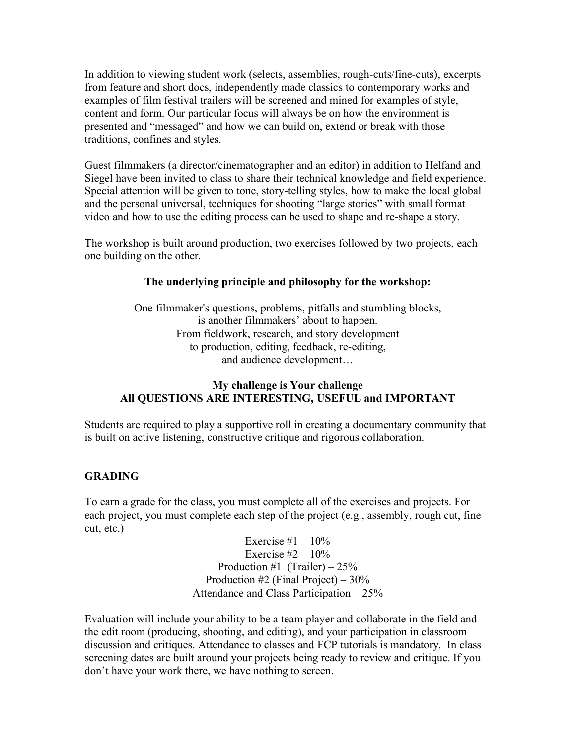In addition to viewing student work (selects, assemblies, rough-cuts/fine-cuts), excerpts from feature and short docs, independently made classics to contemporary works and examples of film festival trailers will be screened and mined for examples of style, content and form. Our particular focus will always be on how the environment is presented and "messaged" and how we can build on, extend or break with those traditions, confines and styles.

Guest filmmakers (a director/cinematographer and an editor) in addition to Helfand and Siegel have been invited to class to share their technical knowledge and field experience. Special attention will be given to tone, story-telling styles, how to make the local global and the personal universal, techniques for shooting "large stories" with small format video and how to use the editing process can be used to shape and re-shape a story.

The workshop is built around production, two exercises followed by two projects, each one building on the other.

### **The underlying principle and philosophy for the workshop:**

One filmmaker's questions, problems, pitfalls and stumbling blocks, is another filmmakers' about to happen. From fieldwork, research, and story development to production, editing, feedback, re-editing, and audience development…

## **My challenge is Your challenge All QUESTIONS ARE INTERESTING, USEFUL and IMPORTANT**

Students are required to play a supportive roll in creating a documentary community that is built on active listening, constructive critique and rigorous collaboration.

## **GRADING**

To earn a grade for the class, you must complete all of the exercises and projects. For each project, you must complete each step of the project (e.g., assembly, rough cut, fine cut, etc.)

> Exercise  $#1 - 10\%$ Exercise  $#2 - 10\%$ Production #1 (Trailer)  $-25%$ Production #2 (Final Project) – 30% Attendance and Class Participation – 25%

Evaluation will include your ability to be a team player and collaborate in the field and the edit room (producing, shooting, and editing), and your participation in classroom discussion and critiques. Attendance to classes and FCP tutorials is mandatory. In class screening dates are built around your projects being ready to review and critique. If you don't have your work there, we have nothing to screen.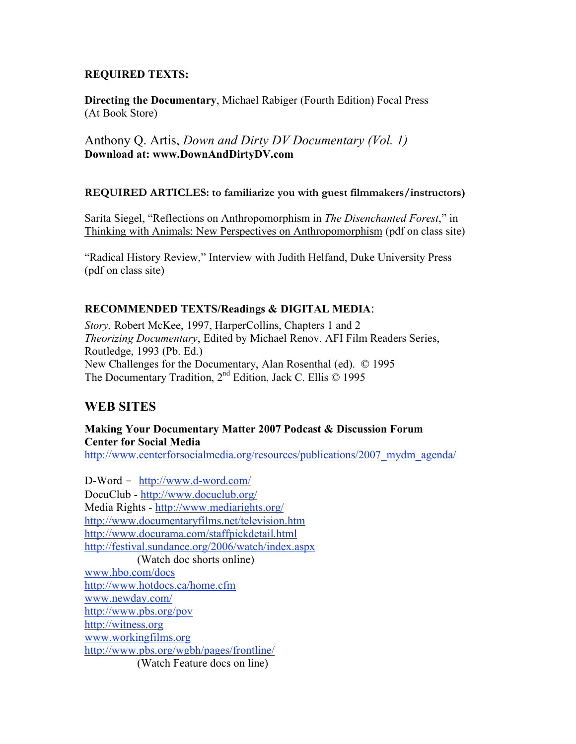## **REQUIRED TEXTS:**

**Directing the Documentary**, Michael Rabiger (Fourth Edition) Focal Press (At Book Store)

Anthony Q. Artis, *Down and Dirty DV Documentary (Vol. 1)* **Download at: www.DownAndDirtyDV.com**

### **REQUIRED ARTICLES: to familiarize you with guest filmmakers/instructors)**

Sarita Siegel, "Reflections on Anthropomorphism in *The Disenchanted Forest*," in Thinking with Animals: New Perspectives on Anthropomorphism (pdf on class site)

"Radical History Review," Interview with Judith Helfand, Duke University Press (pdf on class site)

## **RECOMMENDED TEXTS/Readings & DIGITAL MEDIA**:

*Story,* Robert McKee, 1997, HarperCollins, Chapters 1 and 2 *Theorizing Documentary*, Edited by Michael Renov. AFI Film Readers Series, Routledge, 1993 (Pb. Ed.) New Challenges for the Documentary, Alan Rosenthal (ed). © 1995 The Documentary Tradition, 2<sup>nd</sup> Edition, Jack C. Ellis © 1995

# **WEB SITES**

## **Making Your Documentary Matter 2007 Podcast & Discussion Forum Center for Social Media**

http://www.centerforsocialmedia.org/resources/publications/2007 mydm\_agenda/

D-Word - http://www.d-word.com/ DocuClub - http://www.docuclub.org/ Media Rights - http://www.mediarights.org/ http://www.documentaryfilms.net/television.htm http://www.docurama.com/staffpickdetail.html http://festival.sundance.org/2006/watch/index.aspx (Watch doc shorts online) www.hbo.com/docs http://www.hotdocs.ca/home.cfm www.newday.com/ http://www.pbs.org/pov http://witness.org www.workingfilms.org http://www.pbs.org/wgbh/pages/frontline/

(Watch Feature docs on line)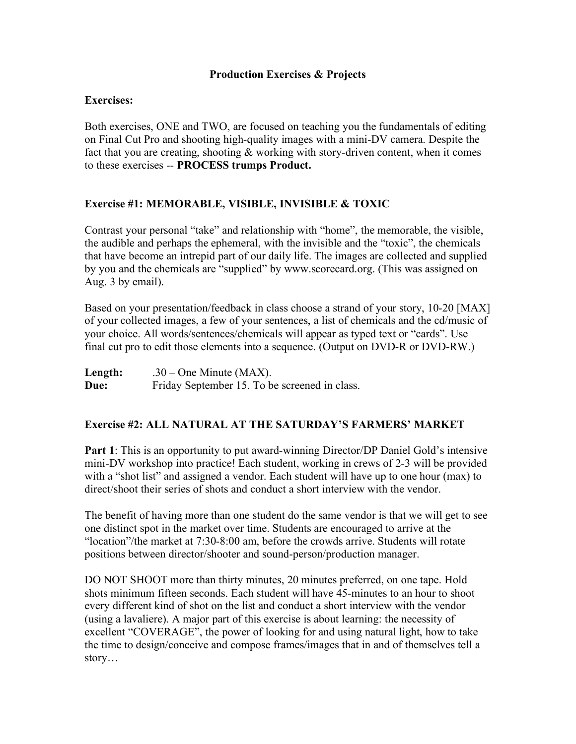## **Production Exercises & Projects**

## **Exercises:**

Both exercises, ONE and TWO, are focused on teaching you the fundamentals of editing on Final Cut Pro and shooting high-quality images with a mini-DV camera. Despite the fact that you are creating, shooting  $&$  working with story-driven content, when it comes to these exercises -- **PROCESS trumps Product.**

## **Exercise #1: MEMORABLE, VISIBLE, INVISIBLE & TOXIC**

Contrast your personal "take" and relationship with "home", the memorable, the visible, the audible and perhaps the ephemeral, with the invisible and the "toxic", the chemicals that have become an intrepid part of our daily life. The images are collected and supplied by you and the chemicals are "supplied" by www.scorecard.org. (This was assigned on Aug. 3 by email).

Based on your presentation/feedback in class choose a strand of your story, 10-20 [MAX] of your collected images, a few of your sentences, a list of chemicals and the cd/music of your choice. All words/sentences/chemicals will appear as typed text or "cards". Use final cut pro to edit those elements into a sequence. (Output on DVD-R or DVD-RW.)

| Length: | $.30 - One$ Minute (MAX).                     |
|---------|-----------------------------------------------|
| Due:    | Friday September 15. To be screened in class. |

### **Exercise #2: ALL NATURAL AT THE SATURDAY'S FARMERS' MARKET**

**Part 1**: This is an opportunity to put award-winning Director/DP Daniel Gold's intensive mini-DV workshop into practice! Each student, working in crews of 2-3 will be provided with a "shot list" and assigned a vendor. Each student will have up to one hour (max) to direct/shoot their series of shots and conduct a short interview with the vendor.

The benefit of having more than one student do the same vendor is that we will get to see one distinct spot in the market over time. Students are encouraged to arrive at the "location"/the market at 7:30-8:00 am, before the crowds arrive. Students will rotate positions between director/shooter and sound-person/production manager.

DO NOT SHOOT more than thirty minutes, 20 minutes preferred, on one tape. Hold shots minimum fifteen seconds. Each student will have 45-minutes to an hour to shoot every different kind of shot on the list and conduct a short interview with the vendor (using a lavaliere). A major part of this exercise is about learning: the necessity of excellent "COVERAGE", the power of looking for and using natural light, how to take the time to design/conceive and compose frames/images that in and of themselves tell a story…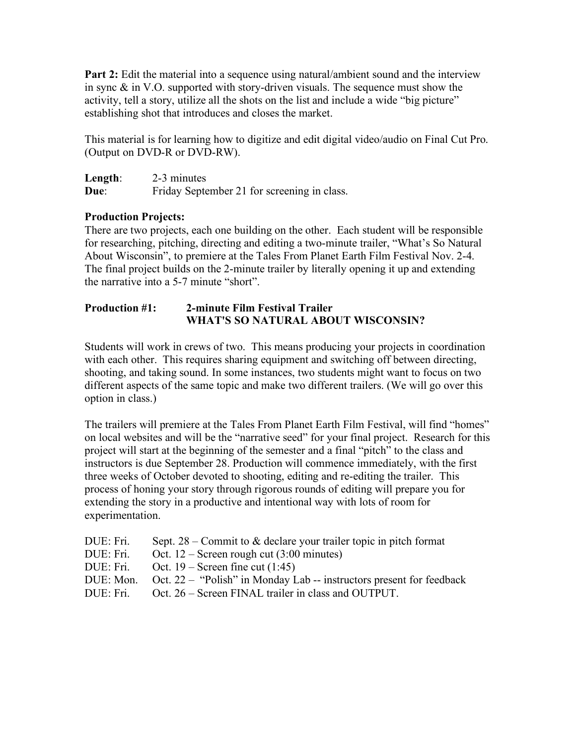**Part 2:** Edit the material into a sequence using natural/ambient sound and the interview in sync & in V.O. supported with story-driven visuals. The sequence must show the activity, tell a story, utilize all the shots on the list and include a wide "big picture" establishing shot that introduces and closes the market.

This material is for learning how to digitize and edit digital video/audio on Final Cut Pro. (Output on DVD-R or DVD-RW).

| Length: | 2-3 minutes                                 |
|---------|---------------------------------------------|
| Due:    | Friday September 21 for screening in class. |

## **Production Projects:**

There are two projects, each one building on the other. Each student will be responsible for researching, pitching, directing and editing a two-minute trailer, "What's So Natural About Wisconsin", to premiere at the Tales From Planet Earth Film Festival Nov. 2-4. The final project builds on the 2-minute trailer by literally opening it up and extending the narrative into a 5-7 minute "short".

## **Production #1: 2-minute Film Festival Trailer WHAT'S SO NATURAL ABOUT WISCONSIN?**

Students will work in crews of two. This means producing your projects in coordination with each other. This requires sharing equipment and switching off between directing, shooting, and taking sound. In some instances, two students might want to focus on two different aspects of the same topic and make two different trailers. (We will go over this option in class.)

The trailers will premiere at the Tales From Planet Earth Film Festival, will find "homes" on local websites and will be the "narrative seed" for your final project. Research for this project will start at the beginning of the semester and a final "pitch" to the class and instructors is due September 28. Production will commence immediately, with the first three weeks of October devoted to shooting, editing and re-editing the trailer. This process of honing your story through rigorous rounds of editing will prepare you for extending the story in a productive and intentional way with lots of room for experimentation.

| DUE: Fri. | Sept. $28$ – Commit to & declare your trailer topic in pitch format  |
|-----------|----------------------------------------------------------------------|
| DUE: Fri. | Oct. $12$ – Screen rough cut (3:00 minutes)                          |
| DUE: Fri. | Oct. $19$ – Screen fine cut $(1:45)$                                 |
| DUE: Mon. | Oct. 22 – "Polish" in Monday Lab -- instructors present for feedback |
| DUE: Fri. | Oct. 26 – Screen FINAL trailer in class and OUTPUT.                  |
|           |                                                                      |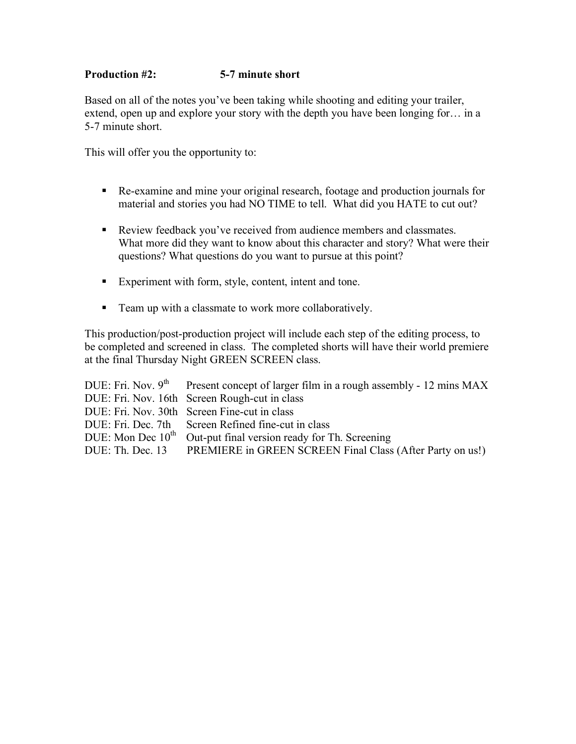# **Production #2: 5-7 minute short**

Based on all of the notes you've been taking while shooting and editing your trailer, extend, open up and explore your story with the depth you have been longing for… in a 5-7 minute short.

This will offer you the opportunity to:

- Re-examine and mine your original research, footage and production journals for material and stories you had NO TIME to tell. What did you HATE to cut out?
- Review feedback you've received from audience members and classmates. What more did they want to know about this character and story? What were their questions? What questions do you want to pursue at this point?
- Experiment with form, style, content, intent and tone.
- Team up with a classmate to work more collaboratively.

This production/post-production project will include each step of the editing process, to be completed and screened in class. The completed shorts will have their world premiere at the final Thursday Night GREEN SCREEN class.

|                     | DUE: Fri. Nov. $9th$ Present concept of larger film in a rough assembly - 12 mins MAX |
|---------------------|---------------------------------------------------------------------------------------|
|                     | DUE: Fri. Nov. 16th Screen Rough-cut in class                                         |
|                     | DUE: Fri. Nov. 30th Screen Fine-cut in class                                          |
|                     | DUE: Fri. Dec. 7th Screen Refined fine-cut in class                                   |
| DUE: Mon Dec $10th$ | Out-put final version ready for Th. Screening                                         |
|                     | DUE: Th. Dec. 13 PREMIERE in GREEN SCREEN Final Class (After Party on us!)            |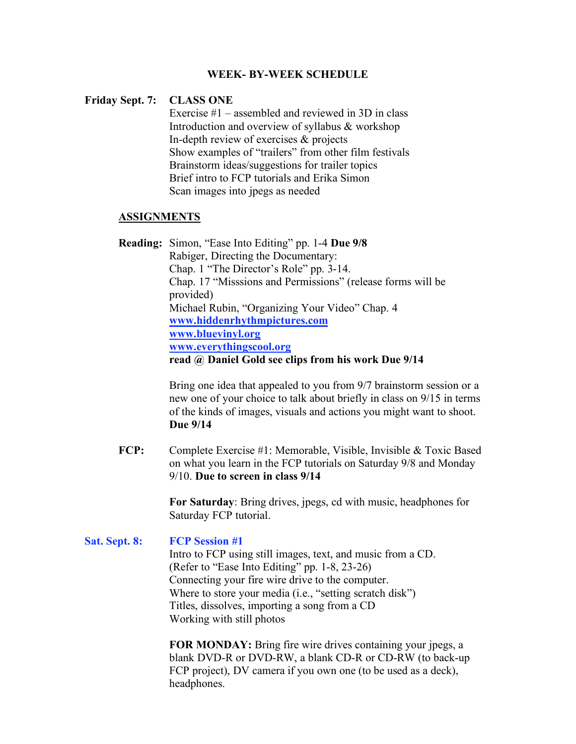#### **WEEK- BY-WEEK SCHEDULE**

#### **Friday Sept. 7: CLASS ONE**

Exercise #1 – assembled and reviewed in 3D in class Introduction and overview of syllabus & workshop In-depth review of exercises & projects Show examples of "trailers" from other film festivals Brainstorm ideas/suggestions for trailer topics Brief intro to FCP tutorials and Erika Simon Scan images into jpegs as needed

#### **ASSIGNMENTS**

**Reading:** Simon, "Ease Into Editing" pp. 1-4 **Due 9/8** Rabiger, Directing the Documentary: Chap. 1 "The Director's Role" pp. 3-14. Chap. 17 "Misssions and Permissions" (release forms will be provided) Michael Rubin, "Organizing Your Video" Chap. 4 **www.hiddenrhythmpictures.com www.bluevinyl.org www.everythingscool.org read @ Daniel Gold see clips from his work Due 9/14**

> Bring one idea that appealed to you from 9/7 brainstorm session or a new one of your choice to talk about briefly in class on 9/15 in terms of the kinds of images, visuals and actions you might want to shoot. **Due 9/14**

**FCP:** Complete Exercise #1: Memorable, Visible, Invisible & Toxic Based on what you learn in the FCP tutorials on Saturday 9/8 and Monday 9/10. **Due to screen in class 9/14**

> **For Saturday**: Bring drives, jpegs, cd with music, headphones for Saturday FCP tutorial.

#### **Sat. Sept. 8: FCP Session #1**

Intro to FCP using still images, text, and music from a CD. (Refer to "Ease Into Editing" pp. 1-8, 23-26) Connecting your fire wire drive to the computer. Where to store your media (i.e., "setting scratch disk") Titles, dissolves, importing a song from a CD Working with still photos

**FOR MONDAY:** Bring fire wire drives containing your jpegs, a blank DVD-R or DVD-RW, a blank CD-R or CD-RW (to back-up FCP project), DV camera if you own one (to be used as a deck), headphones.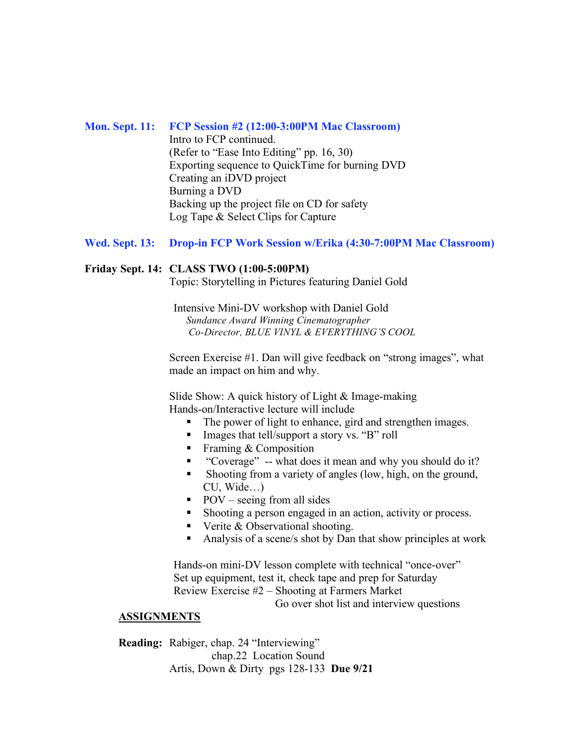#### **Mon. Sept. 11: FCP Session #2 (12:00-3:00PM Mac Classroom)**

Intro to FCP continued. (Refer to "Ease Into Editing" pp. 16, 30) Exporting sequence to QuickTime for burning DVD Creating an iDVD project Burning a DVD Backing up the project file on CD for safety Log Tape & Select Clips for Capture

## **Wed. Sept. 13: Drop-in FCP Work Session w/Erika (4:30-7:00PM Mac Classroom)**

#### **Friday Sept. 14: CLASS TWO (1:00-5:00PM)**

Topic: Storytelling in Pictures featuring Daniel Gold

Intensive Mini-DV workshop with Daniel Gold *Sundance Award Winning Cinematographer Co-Director, BLUE VINYL & EVERYTHING'S COOL*

Screen Exercise #1. Dan will give feedback on "strong images", what made an impact on him and why.

Slide Show: A quick history of Light & Image-making Hands-on/Interactive lecture will include

- The power of light to enhance, gird and strengthen images.
- Images that tell/support a story vs. "B" roll
- Framing  $&$  Composition
- "Coverage" -- what does it mean and why you should do it?
- Shooting from a variety of angles (low, high, on the ground, CU, Wide…)
- $\blacksquare$  POV seeing from all sides
- Shooting a person engaged in an action, activity or process.
- Verite  $&$  Observational shooting.
- Analysis of a scene/s shot by Dan that show principles at work

Hands-on mini-DV lesson complete with technical "once-over" Set up equipment, test it, check tape and prep for Saturday Review Exercise #2 – Shooting at Farmers Market

Go over shot list and interview questions

### **ASSIGNMENTS**

**Reading:** Rabiger, chap. 24 "Interviewing" chap.22 Location Sound Artis, Down & Dirty pgs 128-133 **Due 9/21**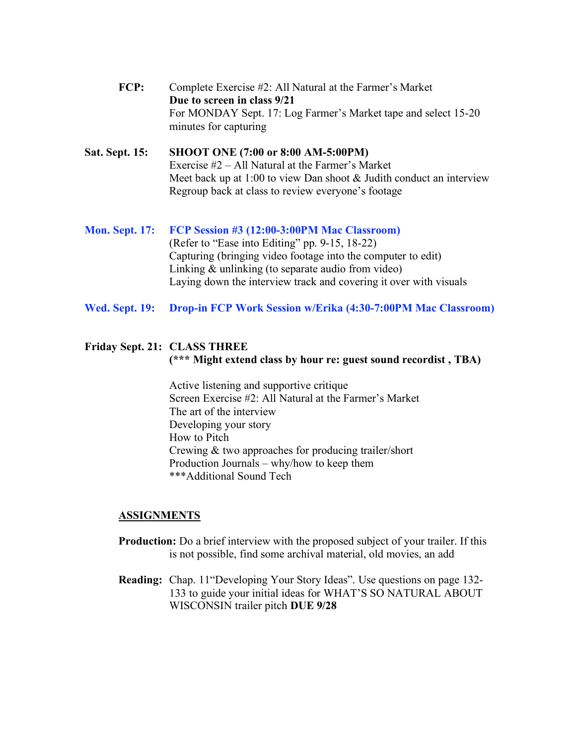**FCP:** Complete Exercise #2: All Natural at the Farmer's Market **Due to screen in class 9/21** For MONDAY Sept. 17: Log Farmer's Market tape and select 15-20 minutes for capturing

## **Sat. Sept. 15: SHOOT ONE (7:00 or 8:00 AM-5:00PM)** Exercise #2 – All Natural at the Farmer's Market Meet back up at 1:00 to view Dan shoot & Judith conduct an interview Regroup back at class to review everyone's footage

## **Mon. Sept. 17: FCP Session #3 (12:00-3:00PM Mac Classroom)** (Refer to "Ease into Editing" pp. 9-15, 18-22) Capturing (bringing video footage into the computer to edit) Linking & unlinking (to separate audio from video) Laying down the interview track and covering it over with visuals

**Wed. Sept. 19: Drop-in FCP Work Session w/Erika (4:30-7:00PM Mac Classroom)**

## **Friday Sept. 21: CLASS THREE (\*\*\* Might extend class by hour re: guest sound recordist , TBA)**

Active listening and supportive critique Screen Exercise #2: All Natural at the Farmer's Market The art of the interview Developing your story How to Pitch Crewing & two approaches for producing trailer/short Production Journals – why/how to keep them \*\*\*Additional Sound Tech

- **Production:** Do a brief interview with the proposed subject of your trailer. If this is not possible, find some archival material, old movies, an add
- **Reading:** Chap. 11"Developing Your Story Ideas". Use questions on page 132- 133 to guide your initial ideas for WHAT'S SO NATURAL ABOUT WISCONSIN trailer pitch **DUE 9/28**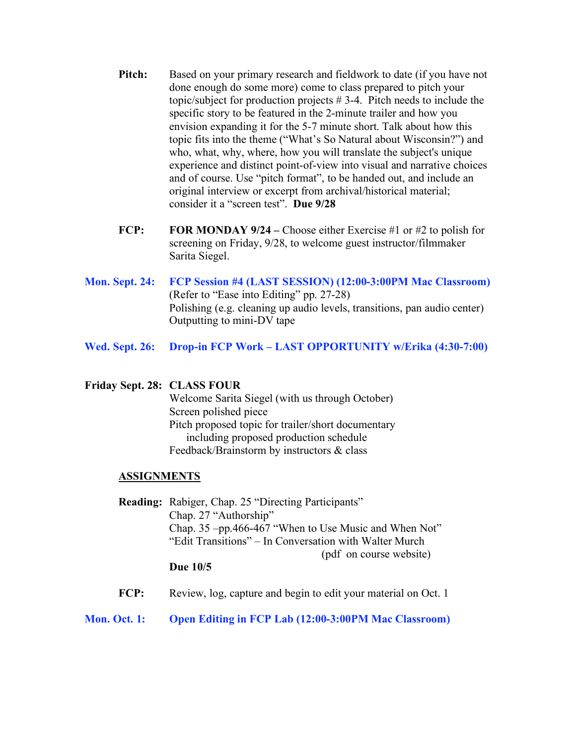- **Pitch:** Based on your primary research and fieldwork to date (if you have not done enough do some more) come to class prepared to pitch your topic/subject for production projects # 3-4. Pitch needs to include the specific story to be featured in the 2-minute trailer and how you envision expanding it for the 5-7 minute short. Talk about how this topic fits into the theme ("What's So Natural about Wisconsin?") and who, what, why, where, how you will translate the subject's unique experience and distinct point-of-view into visual and narrative choices and of course. Use "pitch format", to be handed out, and include an original interview or excerpt from archival/historical material; consider it a "screen test". **Due 9/28**
- **FCP: FOR MONDAY 9/24 –** Choose either Exercise #1 or #2 to polish for screening on Friday, 9/28, to welcome guest instructor/filmmaker Sarita Siegel.
- **Mon. Sept. 24: FCP Session #4 (LAST SESSION) (12:00-3:00PM Mac Classroom)** (Refer to "Ease into Editing" pp. 27-28) Polishing (e.g. cleaning up audio levels, transitions, pan audio center) Outputting to mini-DV tape
- **Wed. Sept. 26: Drop-in FCP Work – LAST OPPORTUNITY w/Erika (4:30-7:00)**

#### **Friday Sept. 28: CLASS FOUR**

Welcome Sarita Siegel (with us through October) Screen polished piece Pitch proposed topic for trailer/short documentary including proposed production schedule Feedback/Brainstorm by instructors & class

#### **ASSIGNMENTS**

**Reading:** Rabiger, Chap. 25 "Directing Participants" Chap. 27 "Authorship" Chap. 35 –pp.466-467 "When to Use Music and When Not" "Edit Transitions" – In Conversation with Walter Murch (pdf on course website)

#### **Due 10/5**

**FCP:** Review, log, capture and begin to edit your material on Oct. 1

#### **Mon. Oct. 1: Open Editing in FCP Lab (12:00-3:00PM Mac Classroom)**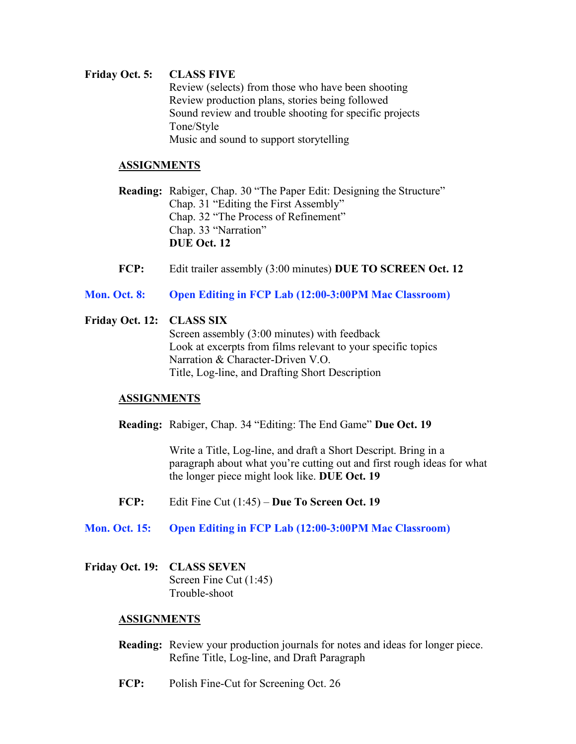# **Friday Oct. 5: CLASS FIVE** Review (selects) from those who have been shooting Review production plans, stories being followed Sound review and trouble shooting for specific projects Tone/Style

Music and sound to support storytelling

## **ASSIGNMENTS**

**Reading:** Rabiger, Chap. 30 "The Paper Edit: Designing the Structure" Chap. 31 "Editing the First Assembly" Chap. 32 "The Process of Refinement" Chap. 33 "Narration" **DUE Oct. 12**

**FCP:** Edit trailer assembly (3:00 minutes) **DUE TO SCREEN Oct. 12**

## **Mon. Oct. 8: Open Editing in FCP Lab (12:00-3:00PM Mac Classroom)**

### **Friday Oct. 12: CLASS SIX**

Screen assembly (3:00 minutes) with feedback Look at excerpts from films relevant to your specific topics Narration & Character-Driven V.O. Title, Log-line, and Drafting Short Description

### **ASSIGNMENTS**

**Reading:** Rabiger, Chap. 34 "Editing: The End Game" **Due Oct. 19**

Write a Title, Log-line, and draft a Short Descript. Bring in a paragraph about what you're cutting out and first rough ideas for what the longer piece might look like. **DUE Oct. 19**

- **FCP:** Edit Fine Cut (1:45) **Due To Screen Oct. 19**
- **Mon. Oct. 15: Open Editing in FCP Lab (12:00-3:00PM Mac Classroom)**

### **Friday Oct. 19: CLASS SEVEN** Screen Fine Cut (1:45) Trouble-shoot

- **Reading:** Review your production journals for notes and ideas for longer piece. Refine Title, Log-line, and Draft Paragraph
- **FCP:** Polish Fine-Cut for Screening Oct. 26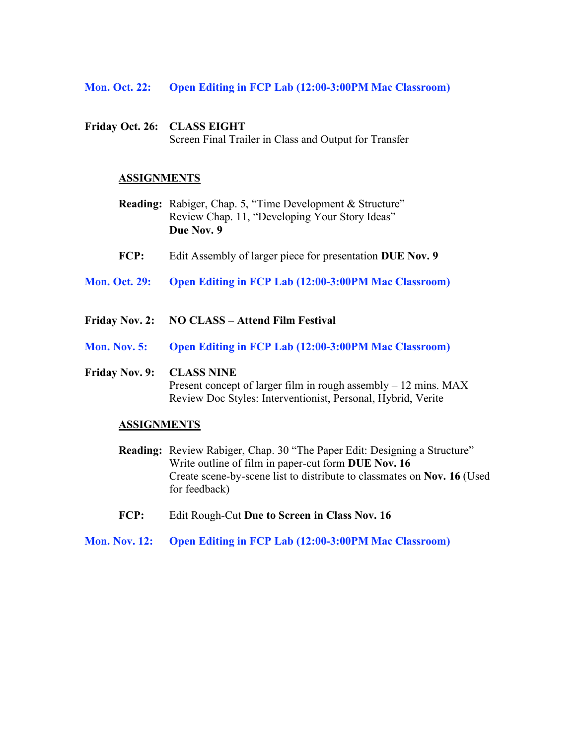#### **Mon. Oct. 22: Open Editing in FCP Lab (12:00-3:00PM Mac Classroom)**

**Friday Oct. 26: CLASS EIGHT** Screen Final Trailer in Class and Output for Transfer

#### **ASSIGNMENTS**

- **Reading:** Rabiger, Chap. 5, "Time Development & Structure" Review Chap. 11, "Developing Your Story Ideas" **Due Nov. 9**
- **FCP:** Edit Assembly of larger piece for presentation **DUE Nov. 9**
- **Mon. Oct. 29: Open Editing in FCP Lab (12:00-3:00PM Mac Classroom)**
- **Friday Nov. 2: NO CLASS – Attend Film Festival**
- **Mon. Nov. 5: Open Editing in FCP Lab (12:00-3:00PM Mac Classroom)**

#### **Friday Nov. 9: CLASS NINE**

Present concept of larger film in rough assembly – 12 mins. MAX Review Doc Styles: Interventionist, Personal, Hybrid, Verite

- **Reading:** Review Rabiger, Chap. 30 "The Paper Edit: Designing a Structure" Write outline of film in paper-cut form **DUE Nov. 16** Create scene-by-scene list to distribute to classmates on **Nov. 16** (Used for feedback)
- **FCP:** Edit Rough-Cut **Due to Screen in Class Nov. 16**
- **Mon. Nov. 12: Open Editing in FCP Lab (12:00-3:00PM Mac Classroom)**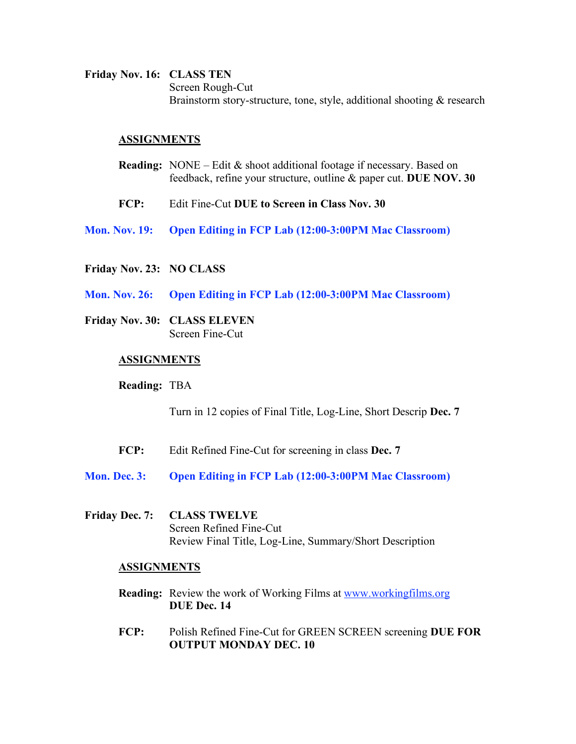**Friday Nov. 16: CLASS TEN** Screen Rough-Cut Brainstorm story-structure, tone, style, additional shooting & research

#### **ASSIGNMENTS**

- **Reading:** NONE Edit & shoot additional footage if necessary. Based on feedback, refine your structure, outline & paper cut. **DUE NOV. 30**
- **FCP:** Edit Fine-Cut **DUE to Screen in Class Nov. 30**
- **Mon. Nov. 19: Open Editing in FCP Lab (12:00-3:00PM Mac Classroom)**
- **Friday Nov. 23: NO CLASS**
- **Mon. Nov. 26: Open Editing in FCP Lab (12:00-3:00PM Mac Classroom)**
- **Friday Nov. 30: CLASS ELEVEN** Screen Fine-Cut

#### **ASSIGNMENTS**

#### **Reading:** TBA

Turn in 12 copies of Final Title, Log-Line, Short Descrip **Dec. 7**

- **FCP:** Edit Refined Fine-Cut for screening in class **Dec. 7**
- **Mon. Dec. 3: Open Editing in FCP Lab (12:00-3:00PM Mac Classroom)**
- **Friday Dec. 7: CLASS TWELVE** Screen Refined Fine-Cut Review Final Title, Log-Line, Summary/Short Description

- **Reading:** Review the work of Working Films at www.workingfilms.org **DUE Dec. 14**
- **FCP:** Polish Refined Fine-Cut for GREEN SCREEN screening **DUE FOR OUTPUT MONDAY DEC. 10**